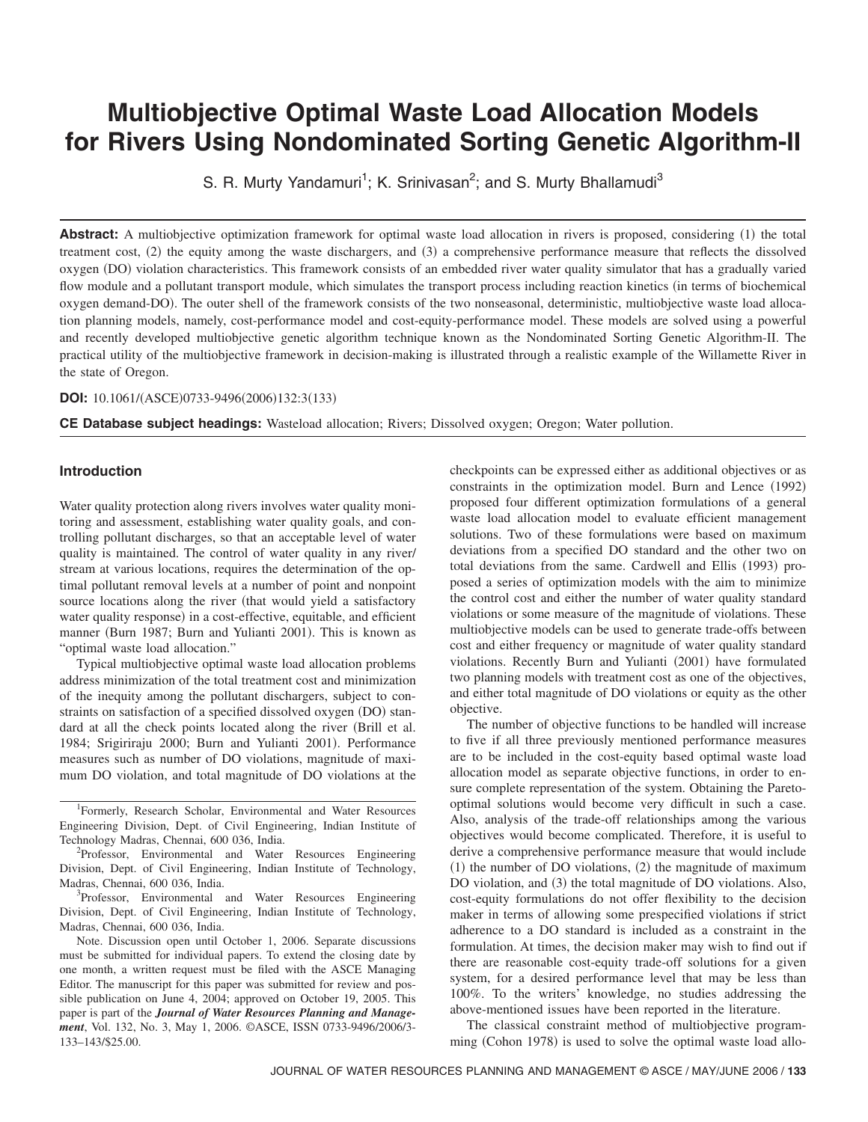# **Multiobjective Optimal Waste Load Allocation Models for Rivers Using Nondominated Sorting Genetic Algorithm-II**

S. R. Murty Yandamuri<sup>1</sup>; K. Srinivasan<sup>2</sup>; and S. Murty Bhallamudi<sup>3</sup>

**Abstract:** A multiobjective optimization framework for optimal waste load allocation in rivers is proposed, considering (1) the total treatment cost, (2) the equity among the waste dischargers, and (3) a comprehensive performance measure that reflects the dissolved oxygen (DO) violation characteristics. This framework consists of an embedded river water quality simulator that has a gradually varied flow module and a pollutant transport module, which simulates the transport process including reaction kinetics (in terms of biochemical oxygen demand-DO). The outer shell of the framework consists of the two nonseasonal, deterministic, multiobjective waste load allocation planning models, namely, cost-performance model and cost-equity-performance model. These models are solved using a powerful and recently developed multiobjective genetic algorithm technique known as the Nondominated Sorting Genetic Algorithm-II. The practical utility of the multiobjective framework in decision-making is illustrated through a realistic example of the Willamette River in the state of Oregon.

#### **DOI:** 10.1061/(ASCE)0733-9496(2006)132:3(133)

**CE Database subject headings:** Wasteload allocation; Rivers; Dissolved oxygen; Oregon; Water pollution.

## **Introduction**

Water quality protection along rivers involves water quality monitoring and assessment, establishing water quality goals, and controlling pollutant discharges, so that an acceptable level of water quality is maintained. The control of water quality in any river/ stream at various locations, requires the determination of the optimal pollutant removal levels at a number of point and nonpoint source locations along the river (that would yield a satisfactory water quality response) in a cost-effective, equitable, and efficient manner (Burn 1987; Burn and Yulianti 2001). This is known as "optimal waste load allocation."

Typical multiobjective optimal waste load allocation problems address minimization of the total treatment cost and minimization of the inequity among the pollutant dischargers, subject to constraints on satisfaction of a specified dissolved oxygen (DO) standard at all the check points located along the river (Brill et al. 1984; Srigiriraju 2000; Burn and Yulianti 2001). Performance measures such as number of DO violations, magnitude of maximum DO violation, and total magnitude of DO violations at the

<sup>1</sup>Formerly, Research Scholar, Environmental and Water Resources Engineering Division, Dept. of Civil Engineering, Indian Institute of Technology Madras, Chennai, 600 036, India. <sup>2</sup>

<sup>2</sup>Professor, Environmental and Water Resources Engineering Division, Dept. of Civil Engineering, Indian Institute of Technology, Madras, Chennai, 600 036, India. <sup>3</sup>

<sup>3</sup>Professor, Environmental and Water Resources Engineering Division, Dept. of Civil Engineering, Indian Institute of Technology, Madras, Chennai, 600 036, India.

Note. Discussion open until October 1, 2006. Separate discussions must be submitted for individual papers. To extend the closing date by one month, a written request must be filed with the ASCE Managing Editor. The manuscript for this paper was submitted for review and possible publication on June 4, 2004; approved on October 19, 2005. This paper is part of the *Journal of Water Resources Planning and Management*, Vol. 132, No. 3, May 1, 2006. ©ASCE, ISSN 0733-9496/2006/3- 133–143/\$25.00.

checkpoints can be expressed either as additional objectives or as constraints in the optimization model. Burn and Lence (1992) proposed four different optimization formulations of a general waste load allocation model to evaluate efficient management solutions. Two of these formulations were based on maximum deviations from a specified DO standard and the other two on total deviations from the same. Cardwell and Ellis (1993) proposed a series of optimization models with the aim to minimize the control cost and either the number of water quality standard violations or some measure of the magnitude of violations. These multiobjective models can be used to generate trade-offs between cost and either frequency or magnitude of water quality standard violations. Recently Burn and Yulianti (2001) have formulated two planning models with treatment cost as one of the objectives, and either total magnitude of DO violations or equity as the other objective.

The number of objective functions to be handled will increase to five if all three previously mentioned performance measures are to be included in the cost-equity based optimal waste load allocation model as separate objective functions, in order to ensure complete representation of the system. Obtaining the Paretooptimal solutions would become very difficult in such a case. Also, analysis of the trade-off relationships among the various objectives would become complicated. Therefore, it is useful to derive a comprehensive performance measure that would include  $(1)$  the number of DO violations,  $(2)$  the magnitude of maximum DO violation, and (3) the total magnitude of DO violations. Also, cost-equity formulations do not offer flexibility to the decision maker in terms of allowing some prespecified violations if strict adherence to a DO standard is included as a constraint in the formulation. At times, the decision maker may wish to find out if there are reasonable cost-equity trade-off solutions for a given system, for a desired performance level that may be less than 100%. To the writers' knowledge, no studies addressing the above-mentioned issues have been reported in the literature.

The classical constraint method of multiobjective programming (Cohon 1978) is used to solve the optimal waste load allo-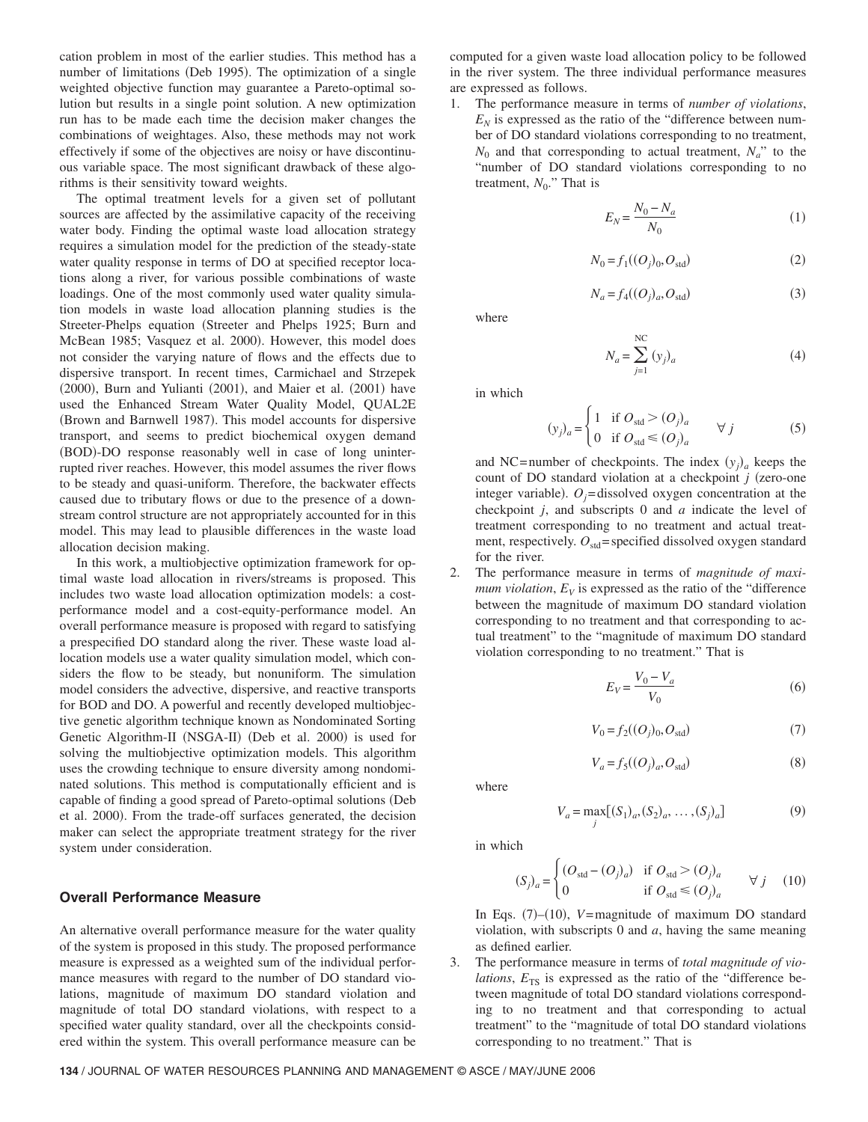cation problem in most of the earlier studies. This method has a number of limitations (Deb 1995). The optimization of a single weighted objective function may guarantee a Pareto-optimal solution but results in a single point solution. A new optimization run has to be made each time the decision maker changes the combinations of weightages. Also, these methods may not work effectively if some of the objectives are noisy or have discontinuous variable space. The most significant drawback of these algorithms is their sensitivity toward weights.

The optimal treatment levels for a given set of pollutant sources are affected by the assimilative capacity of the receiving water body. Finding the optimal waste load allocation strategy requires a simulation model for the prediction of the steady-state water quality response in terms of DO at specified receptor locations along a river, for various possible combinations of waste loadings. One of the most commonly used water quality simulation models in waste load allocation planning studies is the Streeter-Phelps equation (Streeter and Phelps 1925; Burn and McBean 1985; Vasquez et al. 2000). However, this model does not consider the varying nature of flows and the effects due to dispersive transport. In recent times, Carmichael and Strzepek  $(2000)$ , Burn and Yulianti  $(2001)$ , and Maier et al.  $(2001)$  have used the Enhanced Stream Water Quality Model, QUAL2E (Brown and Barnwell 1987). This model accounts for dispersive transport, and seems to predict biochemical oxygen demand (BOD)-DO response reasonably well in case of long uninterrupted river reaches. However, this model assumes the river flows to be steady and quasi-uniform. Therefore, the backwater effects caused due to tributary flows or due to the presence of a downstream control structure are not appropriately accounted for in this model. This may lead to plausible differences in the waste load allocation decision making.

In this work, a multiobjective optimization framework for optimal waste load allocation in rivers/streams is proposed. This includes two waste load allocation optimization models: a costperformance model and a cost-equity-performance model. An overall performance measure is proposed with regard to satisfying a prespecified DO standard along the river. These waste load allocation models use a water quality simulation model, which considers the flow to be steady, but nonuniform. The simulation model considers the advective, dispersive, and reactive transports for BOD and DO. A powerful and recently developed multiobjective genetic algorithm technique known as Nondominated Sorting Genetic Algorithm-II (NSGA-II) (Deb et al. 2000) is used for solving the multiobjective optimization models. This algorithm uses the crowding technique to ensure diversity among nondominated solutions. This method is computationally efficient and is capable of finding a good spread of Pareto-optimal solutions (Deb et al. 2000). From the trade-off surfaces generated, the decision maker can select the appropriate treatment strategy for the river system under consideration.

#### **Overall Performance Measure**

An alternative overall performance measure for the water quality of the system is proposed in this study. The proposed performance measure is expressed as a weighted sum of the individual performance measures with regard to the number of DO standard violations, magnitude of maximum DO standard violation and magnitude of total DO standard violations, with respect to a specified water quality standard, over all the checkpoints considered within the system. This overall performance measure can be computed for a given waste load allocation policy to be followed in the river system. The three individual performance measures are expressed as follows.

1. The performance measure in terms of *number of violations*,  $E_N$  is expressed as the ratio of the "difference between number of DO standard violations corresponding to no treatment,  $N_0$  and that corresponding to actual treatment,  $N_a$ " to the "number of DO standard violations corresponding to no treatment,  $N_0$ ." That is

$$
E_N = \frac{N_0 - N_a}{N_0} \tag{1}
$$

$$
N_0 = f_1((O_j)_0, O_{\text{std}}) \tag{2}
$$

$$
N_a = f_4((O_j)_a, O_{\text{std}}) \tag{3}
$$

where

$$
N_a = \sum_{j=1}^{NC} (y_j)_a \tag{4}
$$

in which

$$
(y_j)_a = \begin{cases} 1 & \text{if } O_{\text{std}} > (O_j)_a \\ 0 & \text{if } O_{\text{std}} \le (O_j)_a \end{cases} \forall j \tag{5}
$$

and NC=number of checkpoints. The index  $(y_j)_a$  keeps the count of DO standard violation at a checkpoint  $j$  (zero-one integer variable).  $O_j$ = dissolved oxygen concentration at the checkpoint *j*, and subscripts 0 and *a* indicate the level of treatment corresponding to no treatment and actual treatment, respectively.  $O_{\text{std}}$ = specified dissolved oxygen standard for the river.

2. The performance measure in terms of *magnitude of maximum violation,*  $E_V$  is expressed as the ratio of the "difference" between the magnitude of maximum DO standard violation corresponding to no treatment and that corresponding to actual treatment" to the "magnitude of maximum DO standard violation corresponding to no treatment." That is

$$
E_V = \frac{V_0 - V_a}{V_0} \tag{6}
$$

$$
V_0 = f_2((O_j)_0, O_{\text{std}}) \tag{7}
$$

$$
V_a = f_5((O_j)_a, O_{\text{std}}) \tag{8}
$$

where

$$
V_a = \max_{j} [(S_1)_a, (S_2)_a, \dots, (S_j)_a]
$$
 (9)

in which

$$
(S_j)_a = \begin{cases} (O_{\text{std}} - (O_j)_a) & \text{if } O_{\text{std}} > (O_j)_a \\ 0 & \text{if } O_{\text{std}} \le (O_j)_a \end{cases} \forall j \quad (10)
$$

In Eqs.  $(7)$ – $(10)$ , *V*=magnitude of maximum DO standard violation, with subscripts 0 and *a*, having the same meaning as defined earlier.

3. The performance measure in terms of *total magnitude of violations*,  $E_{TS}$  is expressed as the ratio of the "difference between magnitude of total DO standard violations corresponding to no treatment and that corresponding to actual treatment" to the "magnitude of total DO standard violations corresponding to no treatment." That is

**134** / JOURNAL OF WATER RESOURCES PLANNING AND MANAGEMENT © ASCE / MAY/JUNE 2006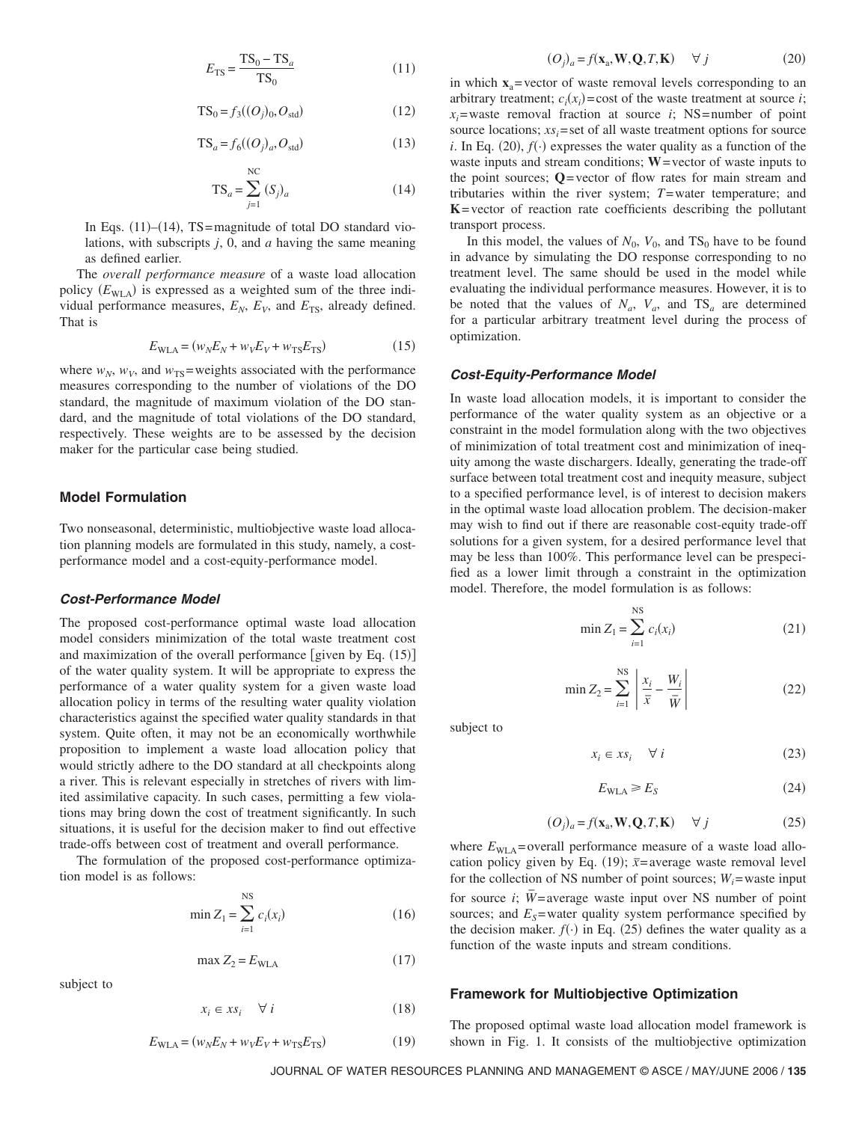$$
E_{\rm TS} = \frac{\rm TS_0 - TS_a}{\rm TS_0} \tag{11}
$$

$$
TS_0 = f_3((O_j)_0, O_{std})
$$
 (12)

$$
TS_a = f_6((O_j)_a, O_{std})
$$
\n(13)

$$
TS_a = \sum_{j=1}^{NC} (S_j)_a \tag{14}
$$

In Eqs.  $(11)$ – $(14)$ , TS=magnitude of total DO standard violations, with subscripts *j*, 0, and *a* having the same meaning as defined earlier.

The *overall performance measure* of a waste load allocation policy ( $E<sub>WLA</sub>$ ) is expressed as a weighted sum of the three individual performance measures,  $E_N$ ,  $E_V$ , and  $E_{TS}$ , already defined. That is

$$
E_{\text{WLA}} = (w_N E_N + w_V E_V + w_{\text{TS}} E_{\text{TS}})
$$
\n<sup>(15)</sup>

where  $w_N$ ,  $w_V$ , and  $w_{TS}$ =weights associated with the performance measures corresponding to the number of violations of the DO standard, the magnitude of maximum violation of the DO standard, and the magnitude of total violations of the DO standard, respectively. These weights are to be assessed by the decision maker for the particular case being studied.

# **Model Formulation**

Two nonseasonal, deterministic, multiobjective waste load allocation planning models are formulated in this study, namely, a costperformance model and a cost-equity-performance model.

#### *Cost-Performance Model*

The proposed cost-performance optimal waste load allocation model considers minimization of the total waste treatment cost and maximization of the overall performance [given by Eq.  $(15)$ ] of the water quality system. It will be appropriate to express the performance of a water quality system for a given waste load allocation policy in terms of the resulting water quality violation characteristics against the specified water quality standards in that system. Quite often, it may not be an economically worthwhile proposition to implement a waste load allocation policy that would strictly adhere to the DO standard at all checkpoints along a river. This is relevant especially in stretches of rivers with limited assimilative capacity. In such cases, permitting a few violations may bring down the cost of treatment significantly. In such situations, it is useful for the decision maker to find out effective trade-offs between cost of treatment and overall performance.

The formulation of the proposed cost-performance optimization model is as follows:

$$
\min Z_1 = \sum_{i=1}^{NS} c_i(x_i)
$$
 (16)

$$
\max Z_2 = E_{\text{WLA}} \tag{17}
$$

$$
x_i \in xs_i \quad \forall \ i \tag{18}
$$

$$
E_{\text{WLA}} = (w_N E_N + w_V E_V + w_{\text{TS}} E_{\text{TS}})
$$
\n(19)

$$
(O_j)_a = f(\mathbf{x}_a, \mathbf{W}, \mathbf{Q}, T, \mathbf{K}) \quad \forall j \tag{20}
$$

in which  $\mathbf{x}_a$ = vector of waste removal levels corresponding to an arbitrary treatment;  $c_i(x_i) = \text{cost of the waste treatment at source } i;$  $x_i$ =waste removal fraction at source *i*; NS= number of point source locations;  $xs<sub>i</sub> = set of all waste treatment options for source$ *i*. In Eq. (20),  $f(\cdot)$  expresses the water quality as a function of the waste inputs and stream conditions; **W** = vector of waste inputs to the point sources; **Q**= vector of flow rates for main stream and tributaries within the river system; *T*=water temperature; and **K**= vector of reaction rate coefficients describing the pollutant transport process.

In this model, the values of  $N_0$ ,  $V_0$ , and  $TS_0$  have to be found in advance by simulating the DO response corresponding to no treatment level. The same should be used in the model while evaluating the individual performance measures. However, it is to be noted that the values of  $N_a$ ,  $V_a$ , and  $TS_a$  are determined for a particular arbitrary treatment level during the process of optimization.

### *Cost-Equity-Performance Model*

In waste load allocation models, it is important to consider the performance of the water quality system as an objective or a constraint in the model formulation along with the two objectives of minimization of total treatment cost and minimization of inequity among the waste dischargers. Ideally, generating the trade-off surface between total treatment cost and inequity measure, subject to a specified performance level, is of interest to decision makers in the optimal waste load allocation problem. The decision-maker may wish to find out if there are reasonable cost-equity trade-off solutions for a given system, for a desired performance level that may be less than 100%. This performance level can be prespecified as a lower limit through a constraint in the optimization model. Therefore, the model formulation is as follows:

$$
\min Z_1 = \sum_{i=1}^{N S} c_i(x_i)
$$
 (21)

$$
\min Z_2 = \sum_{i=1}^{NS} \left| \frac{x_i}{\bar{x}} - \frac{W_i}{\bar{W}} \right| \tag{22}
$$

subject to

$$
x_i \in xs_i \quad \forall \ i \tag{23}
$$

$$
E_{\text{WLA}} \ge E_{S} \tag{24}
$$

$$
(O_j)_a = f(\mathbf{x}_a, \mathbf{W}, \mathbf{Q}, T, \mathbf{K}) \quad \forall j \tag{25}
$$

where  $E_{\text{WLA}}$ = overall performance measure of a waste load allocation policy given by Eq. (19);  $\bar{x}$ =average waste removal level for the collection of NS number of point sources;  $W_i$ =waste input for source *i*;  $\overline{W}$ =average waste input over NS number of point sources; and  $E_s$ =water quality system performance specified by the decision maker.  $f(\cdot)$  in Eq. (25) defines the water quality as a function of the waste inputs and stream conditions.

#### **Framework for Multiobjective Optimization**

The proposed optimal waste load allocation model framework is shown in Fig. 1. It consists of the multiobjective optimization

JOURNAL OF WATER RESOURCES PLANNING AND MANAGEMENT © ASCE / MAY/JUNE 2006 / **135**

subject to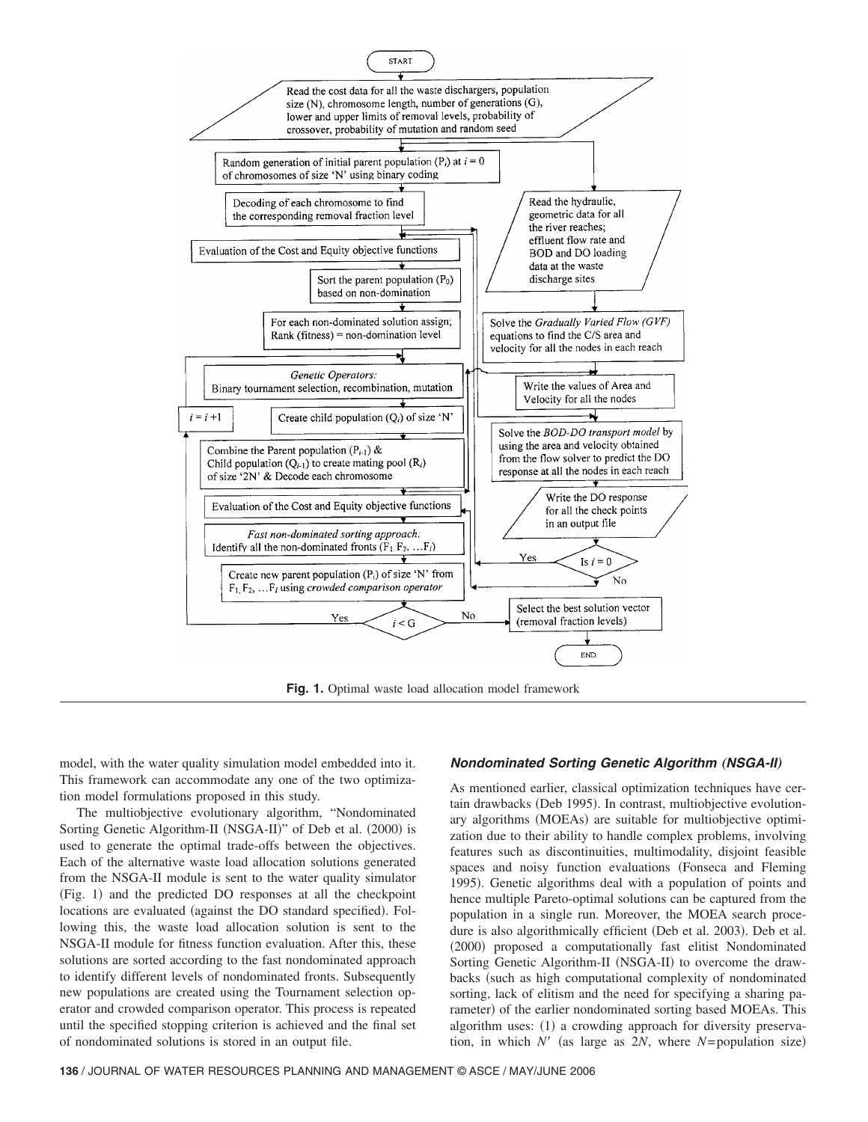

**Fig. 1.** Optimal waste load allocation model framework

model, with the water quality simulation model embedded into it. This framework can accommodate any one of the two optimization model formulations proposed in this study.

The multiobjective evolutionary algorithm, "Nondominated Sorting Genetic Algorithm-II (NSGA-II)" of Deb et al. (2000) is used to generate the optimal trade-offs between the objectives. Each of the alternative waste load allocation solutions generated from the NSGA-II module is sent to the water quality simulator (Fig. 1) and the predicted DO responses at all the checkpoint locations are evaluated (against the DO standard specified). Following this, the waste load allocation solution is sent to the NSGA-II module for fitness function evaluation. After this, these solutions are sorted according to the fast nondominated approach to identify different levels of nondominated fronts. Subsequently new populations are created using the Tournament selection operator and crowded comparison operator. This process is repeated until the specified stopping criterion is achieved and the final set of nondominated solutions is stored in an output file.

## *Nondominated Sorting Genetic Algorithm (NSGA-II)*

As mentioned earlier, classical optimization techniques have certain drawbacks (Deb 1995). In contrast, multiobjective evolutionary algorithms (MOEAs) are suitable for multiobjective optimization due to their ability to handle complex problems, involving features such as discontinuities, multimodality, disjoint feasible spaces and noisy function evaluations (Fonseca and Fleming 1995). Genetic algorithms deal with a population of points and hence multiple Pareto-optimal solutions can be captured from the population in a single run. Moreover, the MOEA search procedure is also algorithmically efficient (Deb et al. 2003). Deb et al. (2000) proposed a computationally fast elitist Nondominated Sorting Genetic Algorithm-II (NSGA-II) to overcome the drawbacks (such as high computational complexity of nondominated sorting, lack of elitism and the need for specifying a sharing parameter) of the earlier nondominated sorting based MOEAs. This algorithm uses: (1) a crowding approach for diversity preservation, in which  $N'$  (as large as  $2N$ , where  $N$ = population size)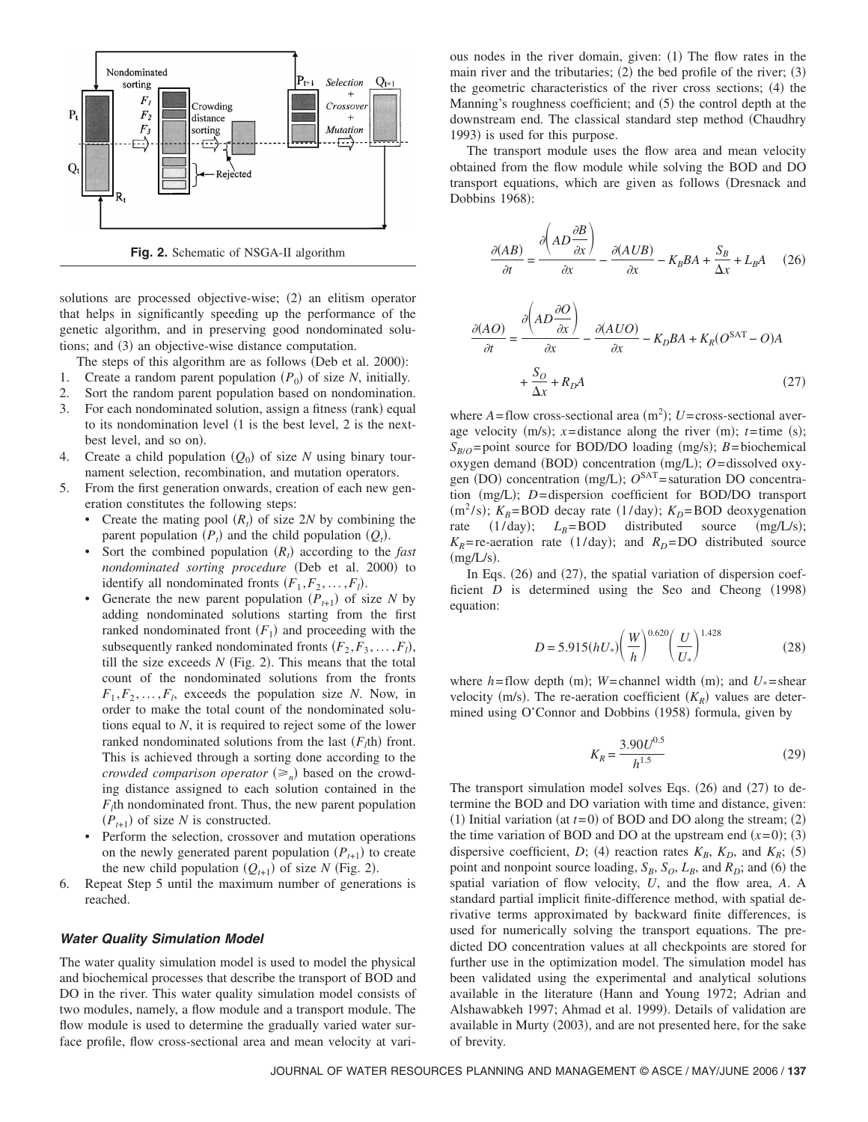

**Fig. 2.** Schematic of NSGA-II algorithm

solutions are processed objective-wise; (2) an elitism operator that helps in significantly speeding up the performance of the genetic algorithm, and in preserving good nondominated solutions; and (3) an objective-wise distance computation.

The steps of this algorithm are as follows (Deb et al. 2000):

- 1. Create a random parent population  $(P_0)$  of size *N*, initially.
- 2. Sort the random parent population based on nondomination.
- 3. For each nondominated solution, assign a fitness (rank) equal to its nondomination level  $(1 \text{ is the best level}, 2 \text{ is the next--}$ best level, and so on).
- 4. Create a child population  $(Q_0)$  of size *N* using binary tournament selection, recombination, and mutation operators.
- 5. From the first generation onwards, creation of each new generation constitutes the following steps:
	- Create the mating pool  $(R_t)$  of size 2*N* by combining the parent population  $(P_t)$  and the child population  $(Q_t)$ .
	- Sort the combined population  $(R_t)$  according to the *fast* nondominated sorting procedure (Deb et al. 2000) to identify all nondominated fronts  $(F_1, F_2, \ldots, F_l)$ .
	- Generate the new parent population  $(P_{t+1})$  of size *N* by adding nondominated solutions starting from the first ranked nondominated front  $(F_1)$  and proceeding with the subsequently ranked nondominated fronts  $(F_2, F_3, \ldots, F_l)$ , till the size exceeds  $N$  (Fig. 2). This means that the total count of the nondominated solutions from the fronts  $F_1, F_2, \ldots, F_l$ , exceeds the population size *N*. Now, in order to make the total count of the nondominated solutions equal to *N*, it is required to reject some of the lower ranked nondominated solutions from the last  $(F<sub>l</sub>th)$  front. This is achieved through a sorting done according to the *crowded comparison operator*  $(\geq_n)$  based on the crowding distance assigned to each solution contained in the  $F_l$ th nondominated front. Thus, the new parent population  $(P_{t+1})$  of size *N* is constructed.
	- Perform the selection, crossover and mutation operations on the newly generated parent population  $(P_{t+1})$  to create the new child population  $(Q_{t+1})$  of size *N* (Fig. 2).
- 6. Repeat Step 5 until the maximum number of generations is reached.

## *Water Quality Simulation Model*

The water quality simulation model is used to model the physical and biochemical processes that describe the transport of BOD and DO in the river. This water quality simulation model consists of two modules, namely, a flow module and a transport module. The flow module is used to determine the gradually varied water surface profile, flow cross-sectional area and mean velocity at vari-

ous nodes in the river domain, given: (1) The flow rates in the main river and the tributaries;  $(2)$  the bed profile of the river;  $(3)$ the geometric characteristics of the river cross sections; (4) the Manning's roughness coefficient; and (5) the control depth at the downstream end. The classical standard step method Chaudhry 1993) is used for this purpose.

The transport module uses the flow area and mean velocity obtained from the flow module while solving the BOD and DO transport equations, which are given as follows Dresnack and Dobbins 1968):

$$
\frac{\partial (AB)}{\partial t} = \frac{\partial \left( AD \frac{\partial B}{\partial x} \right)}{\partial x} - \frac{\partial (A \, U \, B)}{\partial x} - K_B B A + \frac{S_B}{\Delta x} + L_B A \quad (26)
$$

$$
\frac{\partial (AO)}{\partial t} = \frac{\partial \left( AD \frac{\partial O}{\partial x} \right)}{\partial x} - \frac{\partial (A \, UO)}{\partial x} - K_D B A + K_R (O^{SAT} - O) A + \frac{S_O}{\Delta x} + R_D A \tag{27}
$$

where  $A =$  flow cross-sectional area  $(m^2)$ ;  $U =$  cross-sectional average velocity  $(m/s)$ ;  $x = distance$  along the river  $(m)$ ;  $t = time$  (s);  $S_{B/O}$ =point source for BOD/DO loading (mg/s); *B*=biochemical oxygen demand (BOD) concentration (mg/L); O=dissolved oxygen (DO) concentration (mg/L);  $O^{SAT}$  = saturation DO concentration (mg/L); *D*=dispersion coefficient for BOD/DO transport (m<sup>2</sup>/s);  $K_B$ =BOD decay rate (1/day);  $K_D$ =BOD deoxygenation rate  $(1/day); L_B = BOD$  distributed source  $(mg/L/s);$  $K_R$ = re-aeration rate (1/day); and  $R_D$ =DO distributed source  $(mg/L/s).$ 

In Eqs. (26) and (27), the spatial variation of dispersion coefficient  $D$  is determined using the Seo and Cheong  $(1998)$ equation:

$$
D = 5.915(hU_*) \left(\frac{W}{h}\right)^{0.620} \left(\frac{U}{U_*}\right)^{1.428}
$$
 (28)

where  $h$ =flow depth (m); *W*=channel width (m); and  $U_*$ =shear velocity (m/s). The re-aeration coefficient  $(K_R)$  values are determined using O'Connor and Dobbins (1958) formula, given by

$$
K_R = \frac{3.90 U^{0.5}}{h^{1.5}}\tag{29}
$$

The transport simulation model solves Eqs.  $(26)$  and  $(27)$  to determine the BOD and DO variation with time and distance, given: (1) Initial variation (at  $t=0$ ) of BOD and DO along the stream; (2) the time variation of BOD and DO at the upstream end  $(x=0)$ ; (3) dispersive coefficient, *D*; (4) reaction rates  $K_B$ ,  $K_D$ , and  $K_R$ ; (5) point and nonpoint source loading,  $S_B$ ,  $S_O$ ,  $L_B$ , and  $R_D$ ; and (6) the spatial variation of flow velocity, *U*, and the flow area, *A*. A standard partial implicit finite-difference method, with spatial derivative terms approximated by backward finite differences, is used for numerically solving the transport equations. The predicted DO concentration values at all checkpoints are stored for further use in the optimization model. The simulation model has been validated using the experimental and analytical solutions available in the literature (Hann and Young 1972; Adrian and Alshawabkeh 1997; Ahmad et al. 1999). Details of validation are available in Murty (2003), and are not presented here, for the sake of brevity.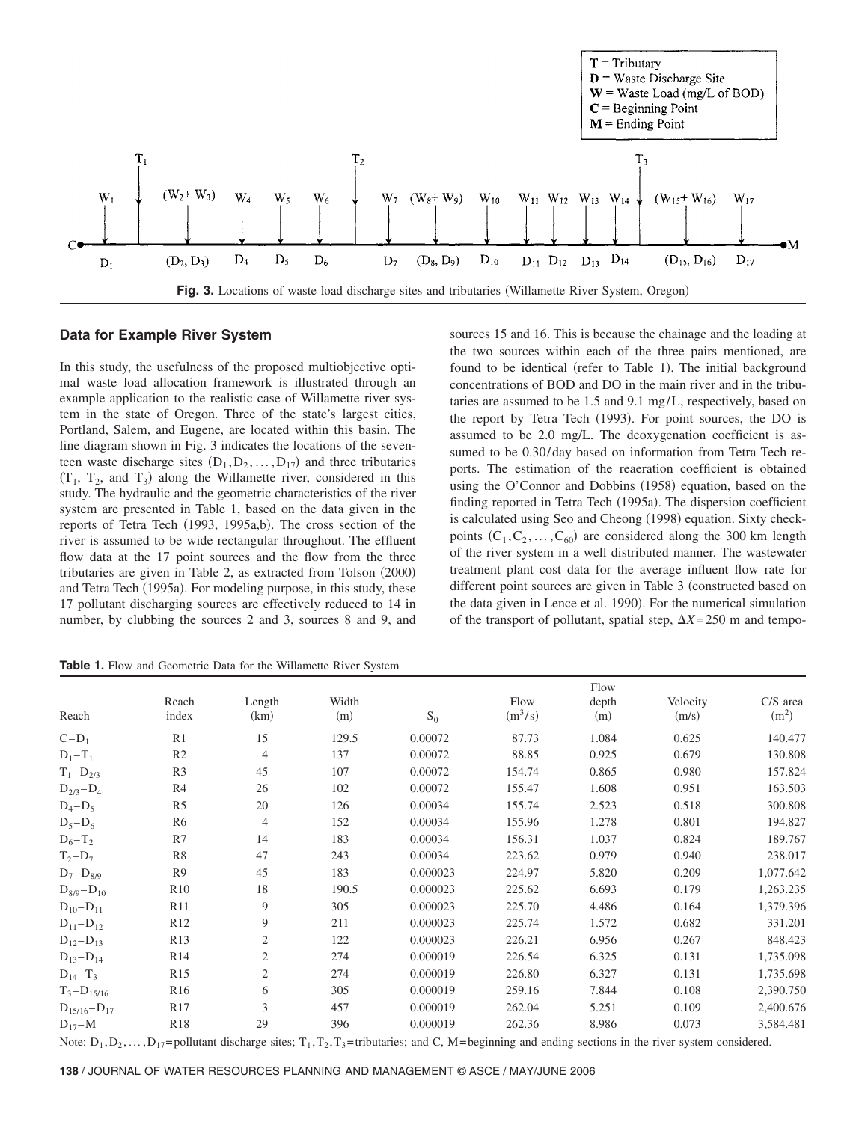

## **Data for Example River System**

In this study, the usefulness of the proposed multiobjective optimal waste load allocation framework is illustrated through an example application to the realistic case of Willamette river system in the state of Oregon. Three of the state's largest cities, Portland, Salem, and Eugene, are located within this basin. The line diagram shown in Fig. 3 indicates the locations of the seventeen waste discharge sites  $(D_1, D_2, \ldots, D_{17})$  and three tributaries  $(T_1, T_2, \text{ and } T_3)$  along the Willamette river, considered in this study. The hydraulic and the geometric characteristics of the river system are presented in Table 1, based on the data given in the reports of Tetra Tech (1993, 1995a,b). The cross section of the river is assumed to be wide rectangular throughout. The effluent flow data at the 17 point sources and the flow from the three tributaries are given in Table 2, as extracted from Tolson (2000) and Tetra Tech (1995a). For modeling purpose, in this study, these 17 pollutant discharging sources are effectively reduced to 14 in number, by clubbing the sources 2 and 3, sources 8 and 9, and

sources 15 and 16. This is because the chainage and the loading at the two sources within each of the three pairs mentioned, are found to be identical (refer to Table 1). The initial background concentrations of BOD and DO in the main river and in the tributaries are assumed to be 1.5 and 9.1 mg/L, respectively, based on the report by Tetra Tech (1993). For point sources, the DO is assumed to be 2.0 mg/L. The deoxygenation coefficient is assumed to be 0.30/day based on information from Tetra Tech reports. The estimation of the reaeration coefficient is obtained using the O'Connor and Dobbins (1958) equation, based on the finding reported in Tetra Tech (1995a). The dispersion coefficient is calculated using Seo and Cheong (1998) equation. Sixty checkpoints  $(C_1, C_2, \ldots, C_{60})$  are considered along the 300 km length of the river system in a well distributed manner. The wastewater treatment plant cost data for the average influent flow rate for different point sources are given in Table 3 (constructed based on the data given in Lence et al. 1990). For the numerical simulation of the transport of pollutant, spatial step,  $\Delta X = 250$  m and tempo-

**Table 1.** Flow and Geometric Data for the Willamette River System

| Reach              | Reach<br>index  | Length<br>(km) | Width<br>(m) | $S_0$    | Flow<br>$(m^3/s)$ | Flow<br>depth<br>(m) | Velocity<br>(m/s) | C/S area<br>(m <sup>2</sup> ) |
|--------------------|-----------------|----------------|--------------|----------|-------------------|----------------------|-------------------|-------------------------------|
| $C-D_1$            | R <sub>1</sub>  | 15             | 129.5        | 0.00072  | 87.73             | 1.084                | 0.625             | 140.477                       |
| $D_1-T_1$          | R <sub>2</sub>  | $\overline{4}$ | 137          | 0.00072  | 88.85             | 0.925                | 0.679             | 130.808                       |
| $T_1 - D_{2/3}$    | R <sub>3</sub>  | 45             | 107          | 0.00072  | 154.74            | 0.865                | 0.980             | 157.824                       |
| $D_{2/3} - D_4$    | R4              | 26             | 102          | 0.00072  | 155.47            | 1.608                | 0.951             | 163.503                       |
| $D_4 - D_5$        | R <sub>5</sub>  | 20             | 126          | 0.00034  | 155.74            | 2.523                | 0.518             | 300.808                       |
| $D_5-D_6$          | R <sub>6</sub>  | $\overline{4}$ | 152          | 0.00034  | 155.96            | 1.278                | 0.801             | 194.827                       |
| $D_6 - T_2$        | R7              | 14             | 183          | 0.00034  | 156.31            | 1.037                | 0.824             | 189.767                       |
| $T_2 - D_7$        | R8              | 47             | 243          | 0.00034  | 223.62            | 0.979                | 0.940             | 238.017                       |
| $D_7 - D_{8/9}$    | R <sub>9</sub>  | 45             | 183          | 0.000023 | 224.97            | 5.820                | 0.209             | 1,077.642                     |
| $D_{8/9} - D_{10}$ | R10             | 18             | 190.5        | 0.000023 | 225.62            | 6.693                | 0.179             | 1,263.235                     |
| $D_{10} - D_{11}$  | R11             | 9              | 305          | 0.000023 | 225.70            | 4.486                | 0.164             | 1,379.396                     |
| $D_{11} - D_{12}$  | R <sub>12</sub> | 9              | 211          | 0.000023 | 225.74            | 1.572                | 0.682             | 331.201                       |
| $D_{12}-D_{13}$    | R13             | $\overline{2}$ | 122          | 0.000023 | 226.21            | 6.956                | 0.267             | 848.423                       |
| $D_{13} - D_{14}$  | R <sub>14</sub> | 2              | 274          | 0.000019 | 226.54            | 6.325                | 0.131             | 1,735.098                     |
| $D_{14}-T_3$       | R <sub>15</sub> | 2              | 274          | 0.000019 | 226.80            | 6.327                | 0.131             | 1,735.698                     |
| $T_3 - D_{15/16}$  | R <sub>16</sub> | 6              | 305          | 0.000019 | 259.16            | 7.844                | 0.108             | 2,390.750                     |
| $D_{15/16}-D_{17}$ | R <sub>17</sub> | 3              | 457          | 0.000019 | 262.04            | 5.251                | 0.109             | 2,400.676                     |
| $D_{17} - M$       | R <sub>18</sub> | 29             | 396          | 0.000019 | 262.36            | 8.986                | 0.073             | 3,584.481                     |

Note:  $D_1, D_2, \ldots, D_{17}$ = pollutant discharge sites; T<sub>1</sub>, T<sub>2</sub>, T<sub>3</sub>=tributaries; and C, M= beginning and ending sections in the river system considered.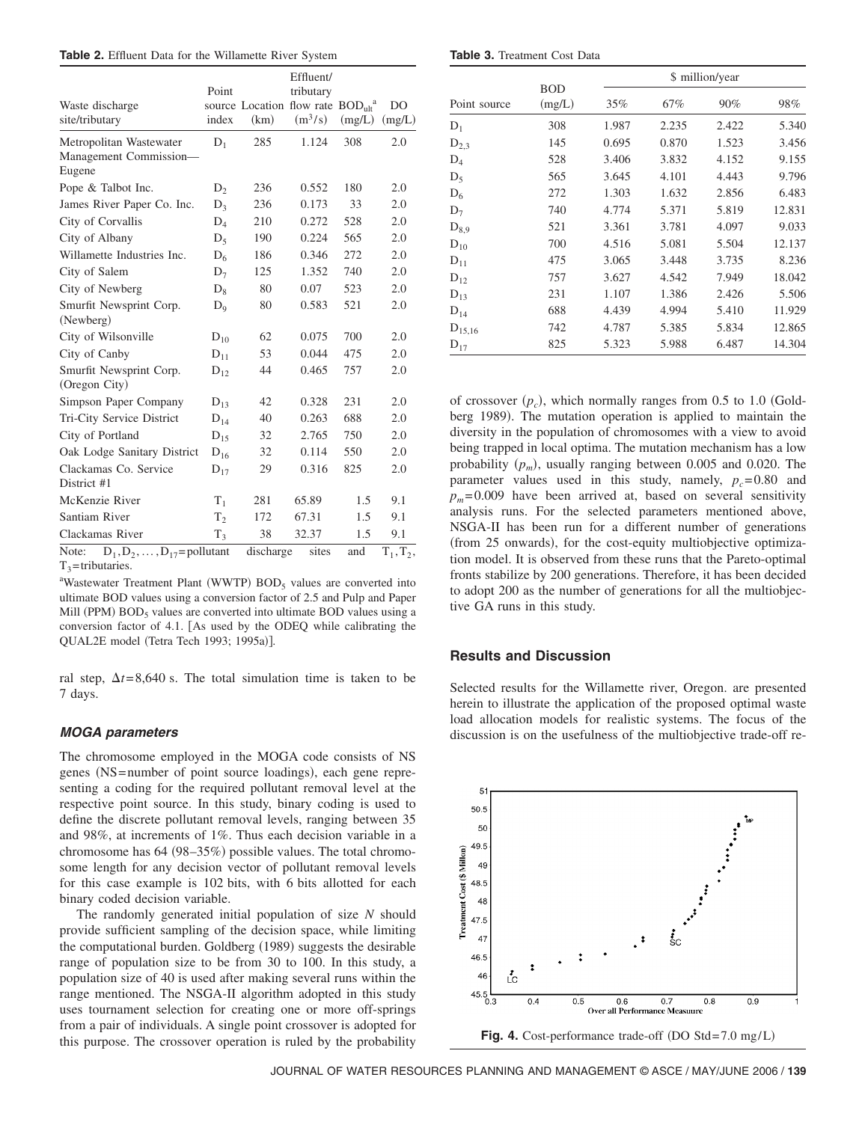|  |  |  |  |  | <b>Table 2.</b> Effluent Data for the Willamette River System |  |  |
|--|--|--|--|--|---------------------------------------------------------------|--|--|
|--|--|--|--|--|---------------------------------------------------------------|--|--|

|                                                |                |           | Effluent/                                                 |        |                |
|------------------------------------------------|----------------|-----------|-----------------------------------------------------------|--------|----------------|
|                                                | Point          |           | tributary                                                 |        |                |
| Waste discharge                                |                |           | source Location flow rate BOD <sub>ult</sub> <sup>a</sup> |        | D <sub>O</sub> |
| site/tributary                                 | index          | (km)      | $(m^3/s)$                                                 | (mg/L) | (mg/L)         |
| Metropolitan Wastewater                        | $D_1$          | 285       | 1.124                                                     | 308    | 2.0            |
| Management Commission-<br>Eugene               |                |           |                                                           |        |                |
| Pope & Talbot Inc.                             | $D_2$          | 236       | 0.552                                                     | 180    | 2.0            |
| James River Paper Co. Inc.                     | $D_3$          | 236       | 0.173                                                     | 33     | 2.0            |
| City of Corvallis                              | $D_4$          | 210       | 0.272                                                     | 528    | 2.0            |
| City of Albany                                 | $D_5$          | 190       | 0.224                                                     | 565    | 2.0            |
| Willamette Industries Inc.                     | $D_6$          | 186       | 0.346                                                     | 272    | 2.0            |
| City of Salem                                  | $D_7$          | 125       | 1.352                                                     | 740    | 2.0            |
| City of Newberg                                | $D_8$          | 80        | 0.07                                                      | 523    | 2.0            |
| Smurfit Newsprint Corp.<br>(Newberg)           | $D_9$          | 80        | 0.583                                                     | 521    | 2.0            |
| City of Wilsonville                            | $D_{10}$       | 62        | 0.075                                                     | 700    | 2.0            |
| City of Canby                                  | $D_{11}$       | 53        | 0.044                                                     | 475    | 2.0            |
| Smurfit Newsprint Corp.<br>(Oregon City)       | $D_{12}$       | 44        | 0.465                                                     | 757    | 2.0            |
| Simpson Paper Company                          | $D_{13}$       | 42        | 0.328                                                     | 231    | 2.0            |
| Tri-City Service District                      | $D_{14}$       | 40        | 0.263                                                     | 688    | 2.0            |
| City of Portland                               | $D_{15}$       | 32        | 2.765                                                     | 750    | 2.0            |
| Oak Lodge Sanitary District                    | $D_{16}$       | 32        | 0.114                                                     | 550    | 2.0            |
| Clackamas Co. Service                          | $D_{17}$       | 29        | 0.316                                                     | 825    | 2.0            |
| District #1                                    |                |           |                                                           |        |                |
| McKenzie River                                 | $T_{1}$        | 281       | 65.89                                                     | 1.5    | 9.1            |
| Santiam River                                  | T <sub>2</sub> | 172       | 67.31                                                     | 1.5    | 9.1            |
| Clackamas River                                | $T_3$          | 38        | 32.37                                                     | 1.5    | 9.1            |
| $D_1, D_2, \ldots, D_{17}$ =pollutant<br>Note: |                | discharge | sites                                                     | and    | $T_1, T_2,$    |

 $T_3$ =tributaries.

<sup>a</sup>Wastewater Treatment Plant (WWTP) BOD<sub>5</sub> values are converted into ultimate BOD values using a conversion factor of 2.5 and Pulp and Paper Mill (PPM)  $BOD_5$  values are converted into ultimate  $BOD$  values using a conversion factor of 4.1. As used by the ODEQ while calibrating the QUAL2E model (Tetra Tech 1993; 1995a)].

ral step,  $\Delta t = 8,640$  s. The total simulation time is taken to be 7 days.

## *MOGA parameters*

The chromosome employed in the MOGA code consists of NS genes (NS=number of point source loadings), each gene representing a coding for the required pollutant removal level at the respective point source. In this study, binary coding is used to define the discrete pollutant removal levels, ranging between 35 and 98%, at increments of 1%. Thus each decision variable in a chromosome has 64 (98–35%) possible values. The total chromosome length for any decision vector of pollutant removal levels for this case example is 102 bits, with 6 bits allotted for each binary coded decision variable.

The randomly generated initial population of size *N* should provide sufficient sampling of the decision space, while limiting the computational burden. Goldberg (1989) suggests the desirable range of population size to be from 30 to 100. In this study, a population size of 40 is used after making several runs within the range mentioned. The NSGA-II algorithm adopted in this study uses tournament selection for creating one or more off-springs from a pair of individuals. A single point crossover is adopted for this purpose. The crossover operation is ruled by the probability

|  |  |  | <b>Table 3.</b> Treatment Cost Data |  |  |
|--|--|--|-------------------------------------|--|--|
|--|--|--|-------------------------------------|--|--|

|              |                      |       |       | \$ million/year |        |
|--------------|----------------------|-------|-------|-----------------|--------|
| Point source | <b>BOD</b><br>(mg/L) | 35%   | 67%   | 90%             | 98%    |
| $D_1$        | 308                  | 1.987 | 2.235 | 2.422           | 5.340  |
| $D_{2,3}$    | 145                  | 0.695 | 0.870 | 1.523           | 3.456  |
| $D_4$        | 528                  | 3.406 | 3.832 | 4.152           | 9.155  |
| $D_5$        | 565                  | 3.645 | 4.101 | 4.443           | 9.796  |
| $D_6$        | 272                  | 1.303 | 1.632 | 2.856           | 6.483  |
| $D_7$        | 740                  | 4.774 | 5.371 | 5.819           | 12.831 |
| $D_{8.9}$    | 521                  | 3.361 | 3.781 | 4.097           | 9.033  |
| $D_{10}$     | 700                  | 4.516 | 5.081 | 5.504           | 12.137 |
| $D_{11}$     | 475                  | 3.065 | 3.448 | 3.735           | 8.236  |
| $D_{12}$     | 757                  | 3.627 | 4.542 | 7.949           | 18.042 |
| $D_{13}$     | 231                  | 1.107 | 1.386 | 2.426           | 5.506  |
| $D_{14}$     | 688                  | 4.439 | 4.994 | 5.410           | 11.929 |
| $D_{15,16}$  | 742                  | 4.787 | 5.385 | 5.834           | 12.865 |
| $D_{17}$     | 825                  | 5.323 | 5.988 | 6.487           | 14.304 |

of crossover  $(p_c)$ , which normally ranges from 0.5 to 1.0 (Goldberg 1989). The mutation operation is applied to maintain the diversity in the population of chromosomes with a view to avoid being trapped in local optima. The mutation mechanism has a low probability  $(p_m)$ , usually ranging between 0.005 and 0.020. The parameter values used in this study, namely,  $p_c = 0.80$  and  $p_m$  = 0.009 have been arrived at, based on several sensitivity analysis runs. For the selected parameters mentioned above, NSGA-II has been run for a different number of generations (from 25 onwards), for the cost-equity multiobjective optimization model. It is observed from these runs that the Pareto-optimal fronts stabilize by 200 generations. Therefore, it has been decided to adopt 200 as the number of generations for all the multiobjective GA runs in this study.

# **Results and Discussion**

Selected results for the Willamette river, Oregon. are presented herein to illustrate the application of the proposed optimal waste load allocation models for realistic systems. The focus of the discussion is on the usefulness of the multiobjective trade-off re-



JOURNAL OF WATER RESOURCES PLANNING AND MANAGEMENT © ASCE / MAY/JUNE 2006 / **139**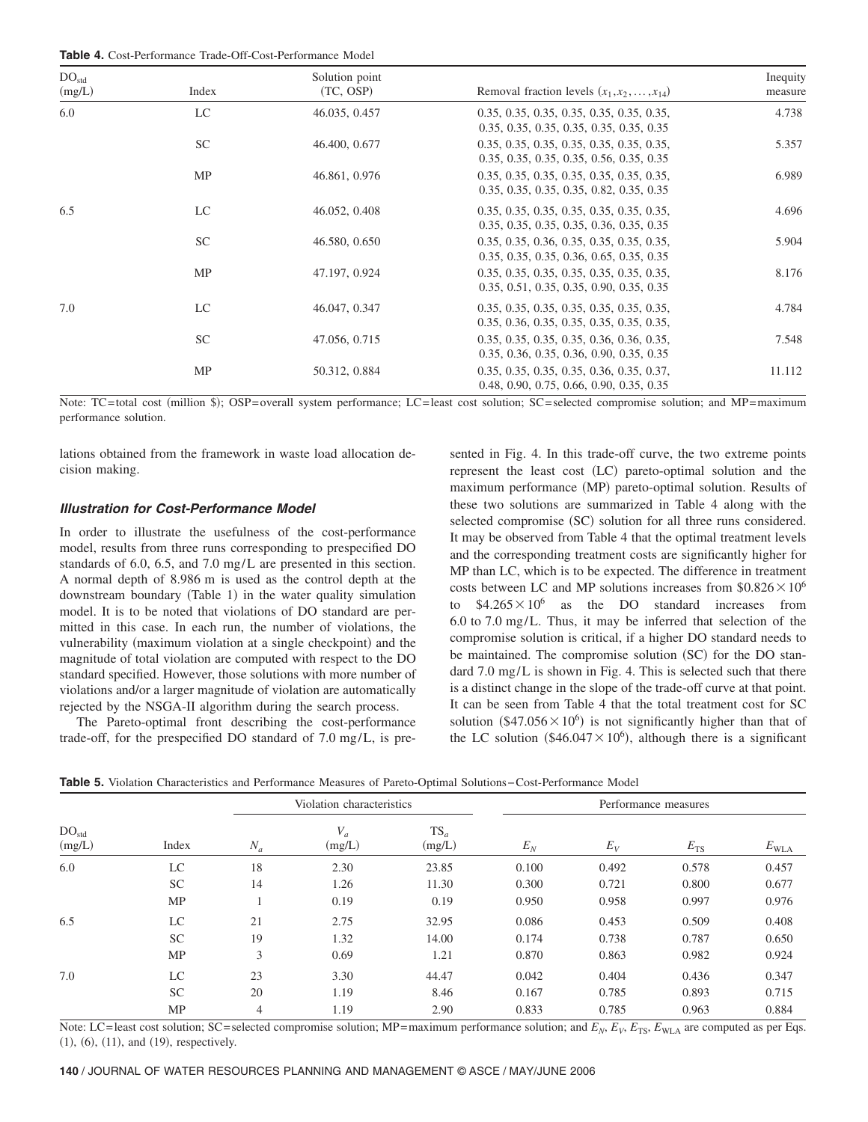| <b>Table 4.</b> Cost-Performance Trade-Off-Cost-Performance Model |
|-------------------------------------------------------------------|
|-------------------------------------------------------------------|

| DO <sub>std</sub><br>(mg/L) | Index     | Solution point<br>(TC, OSP) | Removal fraction levels $(x_1, x_2, , x_{14})$                                                                                    | Inequity<br>measure |
|-----------------------------|-----------|-----------------------------|-----------------------------------------------------------------------------------------------------------------------------------|---------------------|
| 6.0                         | LC        | 46.035, 0.457               | 0.35, 0.35, 0.35, 0.35, 0.35, 0.35, 0.35,                                                                                         | 4.738               |
|                             | <b>SC</b> | 46.400, 0.677               | 0.35, 0.35, 0.35, 0.35, 0.35, 0.35, 0.35<br>0.35, 0.35, 0.35, 0.35, 0.35, 0.35, 0.35,<br>0.35, 0.35, 0.35, 0.35, 0.56, 0.35, 0.35 | 5.357               |
|                             | MP        | 46.861, 0.976               | 0.35, 0.35, 0.35, 0.35, 0.35, 0.35, 0.35,<br>0.35, 0.35, 0.35, 0.35, 0.82, 0.35, 0.35                                             | 6.989               |
| 6.5                         | LC        | 46.052, 0.408               | 0.35, 0.35, 0.35, 0.35, 0.35, 0.35, 0.35,<br>0.35, 0.35, 0.35, 0.35, 0.36, 0.35, 0.35                                             | 4.696               |
|                             | <b>SC</b> | 46.580, 0.650               | 0.35, 0.35, 0.36, 0.35, 0.35, 0.35, 0.35,<br>0.35, 0.35, 0.35, 0.36, 0.65, 0.35, 0.35                                             | 5.904               |
|                             | MP        | 47.197, 0.924               | 0.35, 0.35, 0.35, 0.35, 0.35, 0.35, 0.35,<br>$0.35, 0.51, 0.35, 0.35, 0.90, 0.35, 0.35$                                           | 8.176               |
| 7.0                         | LC        | 46.047, 0.347               | 0.35, 0.35, 0.35, 0.35, 0.35, 0.35, 0.35,<br>0.35, 0.36, 0.35, 0.35, 0.35, 0.35, 0.35,                                            | 4.784               |
|                             | <b>SC</b> | 47.056, 0.715               | 0.35, 0.35, 0.35, 0.35, 0.36, 0.36, 0.35,<br>0.35, 0.36, 0.35, 0.36, 0.90, 0.35, 0.35                                             | 7.548               |
|                             | MP        | 50.312, 0.884               | 0.35, 0.35, 0.35, 0.35, 0.36, 0.35, 0.37,<br>0.48, 0.90, 0.75, 0.66, 0.90, 0.35, 0.35                                             | 11.112              |

Note: TC=total cost (million \$); OSP=overall system performance; LC=least cost solution; SC=selected compromise solution; and MP=maximum performance solution.

lations obtained from the framework in waste load allocation decision making.

#### *Illustration for Cost-Performance Model*

In order to illustrate the usefulness of the cost-performance model, results from three runs corresponding to prespecified DO standards of 6.0, 6.5, and 7.0 mg/L are presented in this section. A normal depth of 8.986 m is used as the control depth at the downstream boundary (Table 1) in the water quality simulation model. It is to be noted that violations of DO standard are permitted in this case. In each run, the number of violations, the vulnerability (maximum violation at a single checkpoint) and the magnitude of total violation are computed with respect to the DO standard specified. However, those solutions with more number of violations and/or a larger magnitude of violation are automatically rejected by the NSGA-II algorithm during the search process.

The Pareto-optimal front describing the cost-performance trade-off, for the prespecified DO standard of 7.0 mg/L, is presented in Fig. 4. In this trade-off curve, the two extreme points represent the least cost (LC) pareto-optimal solution and the maximum performance (MP) pareto-optimal solution. Results of these two solutions are summarized in Table 4 along with the selected compromise (SC) solution for all three runs considered. It may be observed from Table 4 that the optimal treatment levels and the corresponding treatment costs are significantly higher for MP than LC, which is to be expected. The difference in treatment costs between LC and MP solutions increases from  $$0.826 \times 10^6$ to  $$4.265\times10^{6}$  as the DO standard increases from 6.0 to 7.0 mg/L. Thus, it may be inferred that selection of the compromise solution is critical, if a higher DO standard needs to be maintained. The compromise solution (SC) for the DO standard 7.0 mg/L is shown in Fig. 4. This is selected such that there is a distinct change in the slope of the trade-off curve at that point. It can be seen from Table 4 that the total treatment cost for SC solution  $(\$47.056 \times 10^6)$  is not significantly higher than that of the LC solution (\$46.047 $\times$ 10<sup>6</sup>), although there is a significant

**Table 5.** Violation Characteristics and Performance Measures of Pareto-Optimal Solutions−Cost-Performance Model

|                             |           | Violation characteristics |                 |                  | Performance measures |       |          |                  |
|-----------------------------|-----------|---------------------------|-----------------|------------------|----------------------|-------|----------|------------------|
| DO <sub>std</sub><br>(mg/L) | Index     | $N_a$                     | $V_a$<br>(mg/L) | $TS_a$<br>(mg/L) | $E_N$                | $E_V$ | $E_{TS}$ | $E_{\text{WLA}}$ |
| 6.0                         | LC        | 18                        | 2.30            | 23.85            | 0.100                | 0.492 | 0.578    | 0.457            |
|                             | <b>SC</b> | 14                        | 1.26            | 11.30            | 0.300                | 0.721 | 0.800    | 0.677            |
|                             | MP        |                           | 0.19            | 0.19             | 0.950                | 0.958 | 0.997    | 0.976            |
| 6.5                         | LC        | 21                        | 2.75            | 32.95            | 0.086                | 0.453 | 0.509    | 0.408            |
|                             | SC.       | 19                        | 1.32            | 14.00            | 0.174                | 0.738 | 0.787    | 0.650            |
|                             | MP        | 3                         | 0.69            | 1.21             | 0.870                | 0.863 | 0.982    | 0.924            |
| 7.0                         | LC.       | 23                        | 3.30            | 44.47            | 0.042                | 0.404 | 0.436    | 0.347            |
|                             | <b>SC</b> | 20                        | 1.19            | 8.46             | 0.167                | 0.785 | 0.893    | 0.715            |
|                             | MP        | $\overline{4}$            | 1.19            | 2.90             | 0.833                | 0.785 | 0.963    | 0.884            |

Note: LC=least cost solution; SC= selected compromise solution; MP=maximum performance solution; and  $E_N$ ,  $E_V$ ,  $E_{TS}$ ,  $E_{WL}$  are computed as per Eqs.  $(1), (6), (11), and (19), respectively.$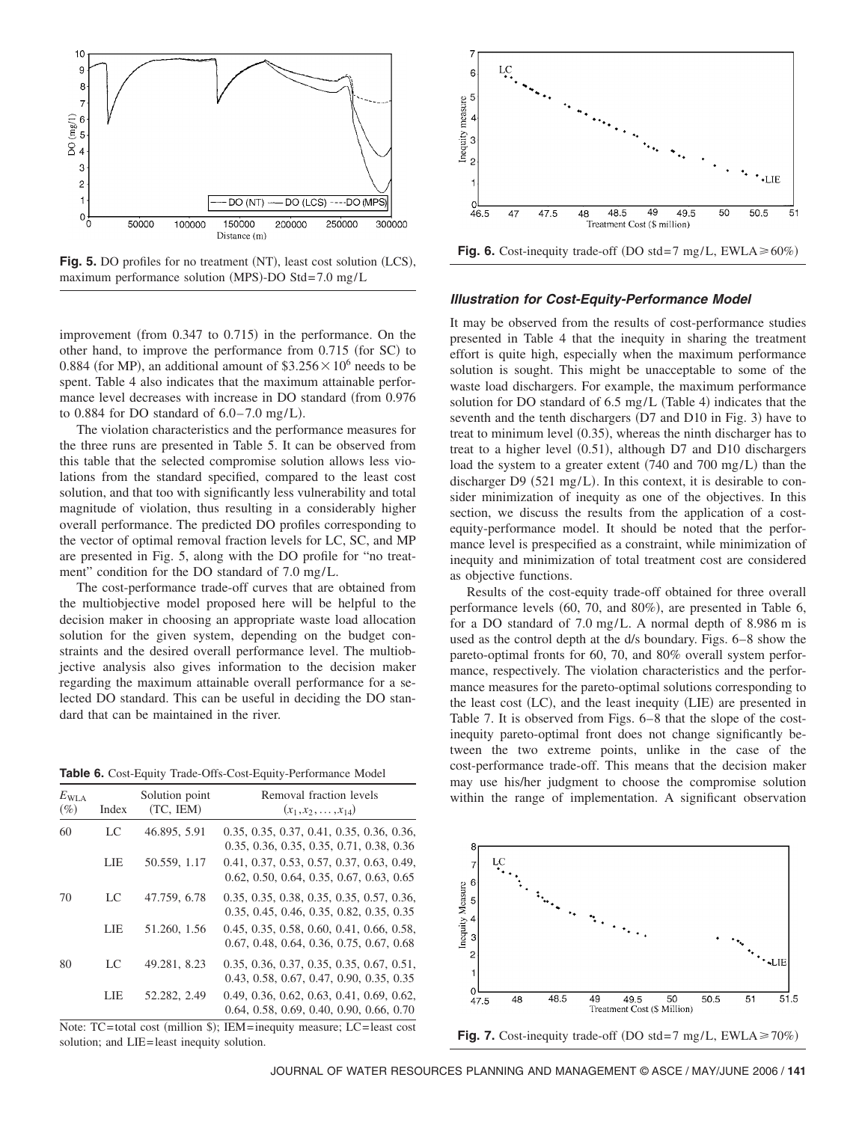

Fig. 5. DO profiles for no treatment (NT), least cost solution (LCS), maximum performance solution (MPS)-DO Std=7.0 mg/L

improvement (from 0.347 to 0.715) in the performance. On the other hand, to improve the performance from 0.715 (for SC) to 0.884 (for MP), an additional amount of  $$3.256 \times 10^6$  needs to be spent. Table 4 also indicates that the maximum attainable performance level decreases with increase in DO standard (from 0.976 to  $0.884$  for DO standard of  $6.0-7.0$  mg/L).

The violation characteristics and the performance measures for the three runs are presented in Table 5. It can be observed from this table that the selected compromise solution allows less violations from the standard specified, compared to the least cost solution, and that too with significantly less vulnerability and total magnitude of violation, thus resulting in a considerably higher overall performance. The predicted DO profiles corresponding to the vector of optimal removal fraction levels for LC, SC, and MP are presented in Fig. 5, along with the DO profile for "no treatment" condition for the DO standard of 7.0 mg/L.

The cost-performance trade-off curves that are obtained from the multiobjective model proposed here will be helpful to the decision maker in choosing an appropriate waste load allocation solution for the given system, depending on the budget constraints and the desired overall performance level. The multiobjective analysis also gives information to the decision maker regarding the maximum attainable overall performance for a selected DO standard. This can be useful in deciding the DO standard that can be maintained in the river.

| Table 6. Cost-Equity Trade-Offs-Cost-Equity-Performance Model |  |
|---------------------------------------------------------------|--|
|---------------------------------------------------------------|--|

| $E_{\text{WLA}}$<br>$(\%)$ | Index | Solution point<br>(TC, IEM) | Removal fraction levels<br>$(x_1, x_2, \ldots, x_{14})$                                 |
|----------------------------|-------|-----------------------------|-----------------------------------------------------------------------------------------|
| 60                         | LC    | 46.895, 5.91                | 0.35, 0.35, 0.37, 0.41, 0.35, 0.36, 0.36,<br>0.35, 0.36, 0.35, 0.35, 0.71, 0.38, 0.36   |
|                            | LIE   | 50.559, 1.17                | 0.41, 0.37, 0.53, 0.57, 0.37, 0.63, 0.49,<br>$0.62, 0.50, 0.64, 0.35, 0.67, 0.63, 0.65$ |
| 70                         | LC    | 47.759, 6.78                | 0.35, 0.35, 0.38, 0.35, 0.35, 0.57, 0.36,<br>0.35, 0.45, 0.46, 0.35, 0.82, 0.35, 0.35   |
|                            | LIE   | 51.260, 1.56                | 0.45, 0.35, 0.58, 0.60, 0.41, 0.66, 0.58,<br>0.67, 0.48, 0.64, 0.36, 0.75, 0.67, 0.68   |
| 80                         | LC    | 49.281, 8.23                | 0.35, 0.36, 0.37, 0.35, 0.35, 0.67, 0.51,<br>0.43, 0.58, 0.67, 0.47, 0.90, 0.35, 0.35   |
|                            | LIE   | 52.282, 2.49                | 0.49, 0.36, 0.62, 0.63, 0.41, 0.69, 0.62,<br>$0.64, 0.58, 0.69, 0.40, 0.90, 0.66, 0.70$ |

Note: TC=total cost (million \$); IEM=inequity measure; LC=least cost solution; and LIE=least inequity solution.



#### *Illustration for Cost-Equity-Performance Model*

It may be observed from the results of cost-performance studies presented in Table 4 that the inequity in sharing the treatment effort is quite high, especially when the maximum performance solution is sought. This might be unacceptable to some of the waste load dischargers. For example, the maximum performance solution for DO standard of  $6.5 \text{ mg/L}$  (Table 4) indicates that the seventh and the tenth dischargers (D7 and D10 in Fig. 3) have to treat to minimum level (0.35), whereas the ninth discharger has to treat to a higher level (0.51), although D7 and D10 dischargers load the system to a greater extent (740 and 700 mg/L) than the discharger D9  $(521 \text{ mg/L})$ . In this context, it is desirable to consider minimization of inequity as one of the objectives. In this section, we discuss the results from the application of a costequity-performance model. It should be noted that the performance level is prespecified as a constraint, while minimization of inequity and minimization of total treatment cost are considered as objective functions.

Results of the cost-equity trade-off obtained for three overall performance levels (60, 70, and 80%), are presented in Table 6, for a DO standard of 7.0 mg/L. A normal depth of 8.986 m is used as the control depth at the d/s boundary. Figs. 6–8 show the pareto-optimal fronts for 60, 70, and 80% overall system performance, respectively. The violation characteristics and the performance measures for the pareto-optimal solutions corresponding to the least cost (LC), and the least inequity (LIE) are presented in Table 7. It is observed from Figs. 6–8 that the slope of the costinequity pareto-optimal front does not change significantly between the two extreme points, unlike in the case of the cost-performance trade-off. This means that the decision maker may use his/her judgment to choose the compromise solution within the range of implementation. A significant observation



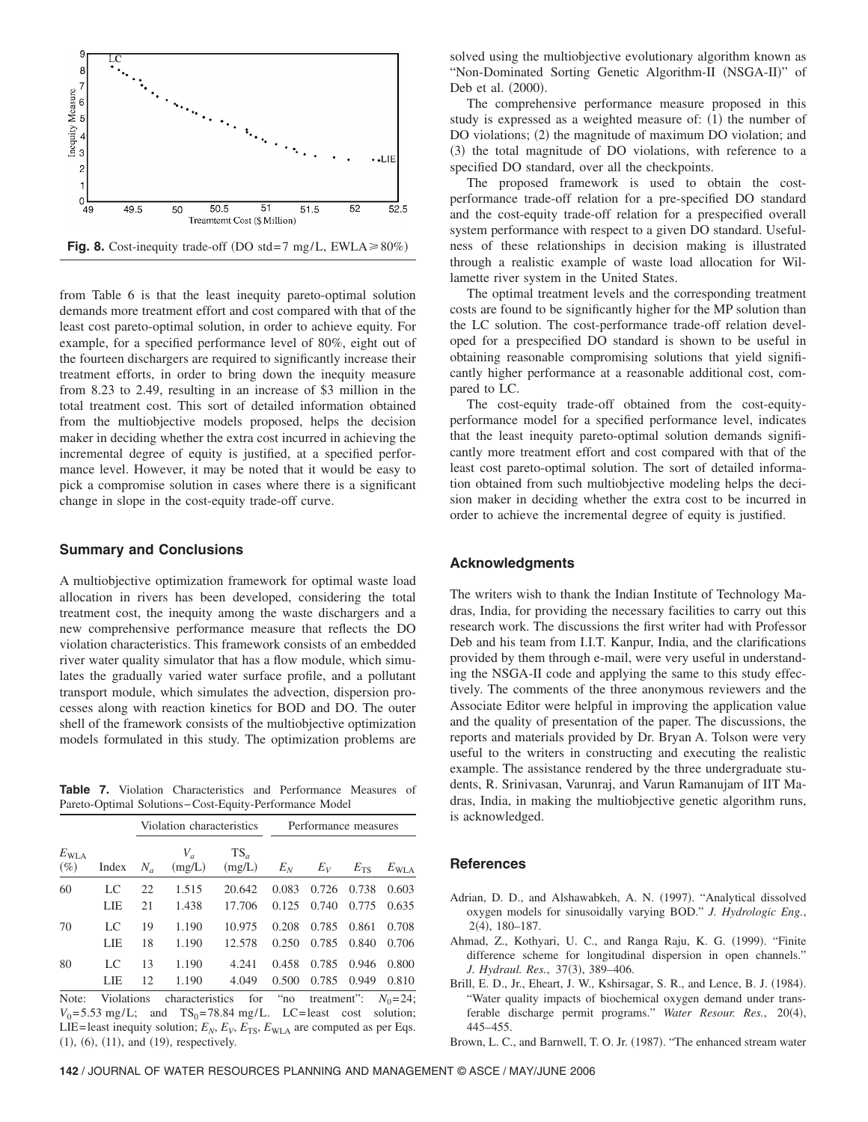

from Table 6 is that the least inequity pareto-optimal solution demands more treatment effort and cost compared with that of the least cost pareto-optimal solution, in order to achieve equity. For example, for a specified performance level of 80%, eight out of the fourteen dischargers are required to significantly increase their treatment efforts, in order to bring down the inequity measure from 8.23 to 2.49, resulting in an increase of \$3 million in the total treatment cost. This sort of detailed information obtained from the multiobjective models proposed, helps the decision maker in deciding whether the extra cost incurred in achieving the incremental degree of equity is justified, at a specified performance level. However, it may be noted that it would be easy to pick a compromise solution in cases where there is a significant change in slope in the cost-equity trade-off curve.

## **Summary and Conclusions**

A multiobjective optimization framework for optimal waste load allocation in rivers has been developed, considering the total treatment cost, the inequity among the waste dischargers and a new comprehensive performance measure that reflects the DO violation characteristics. This framework consists of an embedded river water quality simulator that has a flow module, which simulates the gradually varied water surface profile, and a pollutant transport module, which simulates the advection, dispersion processes along with reaction kinetics for BOD and DO. The outer shell of the framework consists of the multiobjective optimization models formulated in this study. The optimization problems are

**Table 7.** Violation Characteristics and Performance Measures of Pareto-Optimal Solutions−Cost-Equity-Performance Model

|                            |       |       | Violation characteristics |                  | Performance measures |       |              |               |
|----------------------------|-------|-------|---------------------------|------------------|----------------------|-------|--------------|---------------|
| $E_{\text{WLA}}$<br>$(\%)$ | Index | $N_a$ | $V_a$<br>(mg/L)           | $TS_a$<br>(mg/L) | $E_N$                | $E_V$ | $E_{\rm TS}$ | $E_{\rm WLA}$ |
| 60                         | LC    | 22    | 1.515                     | 20.642           | 0.083                | 0.726 | 0.738        | 0.603         |
|                            | LIE   | 21    | 1.438                     | 17.706           | 0.125                | 0.740 | 0.775        | 0.635         |
| 70                         | LC    | 19    | 1.190                     | 10.975           | 0.208                | 0.785 | 0.861        | 0.708         |
|                            | LIE   | 18    | 1.190                     | 12.578           | 0.250                | 0.785 | 0.840        | 0.706         |
| 80                         | LC    | 13    | 1.190                     | 4.241            | 0.458                | 0.785 | 0.946        | 0.800         |
|                            | LIE   | 12    | 1.190                     | 4.049            | 0.500                | 0.785 | 0.949        | 0.810         |

Note: Violations characteristics for "no treatment":  $N_0 = 24$ ;  $V_0$ = 5.53 mg/L; and TS<sub>0</sub>=78.84 mg/L. LC=least cost solution; LIE=least inequity solution;  $E_N$ ,  $E_V$ ,  $E_{TS}$ ,  $E_{WLA}$  are computed as per Eqs.  $(1), (6), (11), and (19), respectively.$ 

solved using the multiobjective evolutionary algorithm known as "Non-Dominated Sorting Genetic Algorithm-II (NSGA-II)" of Deb et al. (2000).

The comprehensive performance measure proposed in this study is expressed as a weighted measure of: (1) the number of DO violations; (2) the magnitude of maximum DO violation; and (3) the total magnitude of DO violations, with reference to a specified DO standard, over all the checkpoints.

The proposed framework is used to obtain the costperformance trade-off relation for a pre-specified DO standard and the cost-equity trade-off relation for a prespecified overall system performance with respect to a given DO standard. Usefulness of these relationships in decision making is illustrated through a realistic example of waste load allocation for Willamette river system in the United States.

The optimal treatment levels and the corresponding treatment costs are found to be significantly higher for the MP solution than the LC solution. The cost-performance trade-off relation developed for a prespecified DO standard is shown to be useful in obtaining reasonable compromising solutions that yield significantly higher performance at a reasonable additional cost, compared to LC.

The cost-equity trade-off obtained from the cost-equityperformance model for a specified performance level, indicates that the least inequity pareto-optimal solution demands significantly more treatment effort and cost compared with that of the least cost pareto-optimal solution. The sort of detailed information obtained from such multiobjective modeling helps the decision maker in deciding whether the extra cost to be incurred in order to achieve the incremental degree of equity is justified.

## **Acknowledgments**

The writers wish to thank the Indian Institute of Technology Madras, India, for providing the necessary facilities to carry out this research work. The discussions the first writer had with Professor Deb and his team from I.I.T. Kanpur, India, and the clarifications provided by them through e-mail, were very useful in understanding the NSGA-II code and applying the same to this study effectively. The comments of the three anonymous reviewers and the Associate Editor were helpful in improving the application value and the quality of presentation of the paper. The discussions, the reports and materials provided by Dr. Bryan A. Tolson were very useful to the writers in constructing and executing the realistic example. The assistance rendered by the three undergraduate students, R. Srinivasan, Varunraj, and Varun Ramanujam of IIT Madras, India, in making the multiobjective genetic algorithm runs, is acknowledged.

# **References**

- Adrian, D. D., and Alshawabkeh, A. N. (1997). "Analytical dissolved oxygen models for sinusoidally varying BOD." *J. Hydrologic Eng.*, 2(4), 180–187.
- Ahmad, Z., Kothyari, U. C., and Ranga Raju, K. G. (1999). "Finite difference scheme for longitudinal dispersion in open channels." J. Hydraul. Res., 37(3), 389-406.
- Brill, E. D., Jr., Eheart, J. W., Kshirsagar, S. R., and Lence, B. J. (1984). "Water quality impacts of biochemical oxygen demand under transferable discharge permit programs." Water Resour. Res., 20(4), 445–455.

Brown, L. C., and Barnwell, T. O. Jr. (1987). "The enhanced stream water